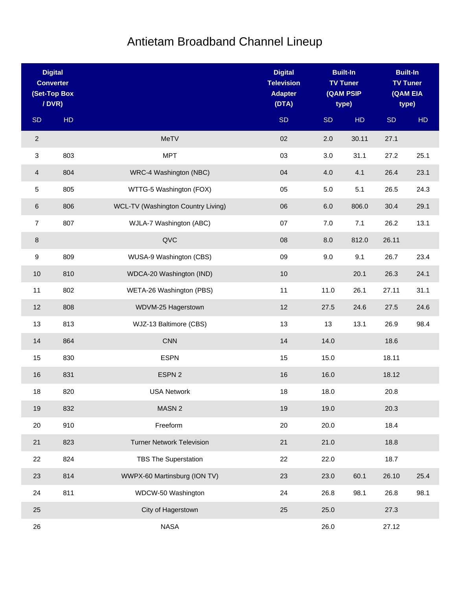## Antietam Broadband Channel Lineup

| <b>Digital</b><br><b>Converter</b><br>(Set-Top Box<br>/ DVR) |     |                                    | <b>Digital</b><br><b>Television</b><br><b>Adapter</b><br>(DTA) | <b>Built-In</b><br><b>TV Tuner</b><br>(QAM PSIP<br>type) |       |           |      |  | <b>Built-In</b><br><b>TV Tuner</b><br>(QAM EIA<br>type) |
|--------------------------------------------------------------|-----|------------------------------------|----------------------------------------------------------------|----------------------------------------------------------|-------|-----------|------|--|---------------------------------------------------------|
| <b>SD</b>                                                    | HD  |                                    | <b>SD</b>                                                      | <b>SD</b>                                                | HD    | <b>SD</b> | HD   |  |                                                         |
| $\sqrt{2}$                                                   |     | <b>MeTV</b>                        | 02                                                             | 2.0                                                      | 30.11 | 27.1      |      |  |                                                         |
| 3                                                            | 803 | <b>MPT</b>                         | 03                                                             | 3.0                                                      | 31.1  | 27.2      | 25.1 |  |                                                         |
| 4                                                            | 804 | WRC-4 Washington (NBC)             | 04                                                             | 4.0                                                      | 4.1   | 26.4      | 23.1 |  |                                                         |
| 5                                                            | 805 | WTTG-5 Washington (FOX)            | 05                                                             | 5.0                                                      | 5.1   | 26.5      | 24.3 |  |                                                         |
| 6                                                            | 806 | WCL-TV (Washington Country Living) | 06                                                             | 6.0                                                      | 806.0 | 30.4      | 29.1 |  |                                                         |
| $\overline{7}$                                               | 807 | WJLA-7 Washington (ABC)            | 07                                                             | $7.0$                                                    | 7.1   | 26.2      | 13.1 |  |                                                         |
| 8                                                            |     | QVC                                | 08                                                             | 8.0                                                      | 812.0 | 26.11     |      |  |                                                         |
| 9                                                            | 809 | WUSA-9 Washington (CBS)            | 09                                                             | 9.0                                                      | 9.1   | 26.7      | 23.4 |  |                                                         |
| 10                                                           | 810 | WDCA-20 Washington (IND)           | $10$                                                           |                                                          | 20.1  | 26.3      | 24.1 |  |                                                         |
| 11                                                           | 802 | WETA-26 Washington (PBS)           | 11                                                             | 11.0                                                     | 26.1  | 27.11     | 31.1 |  |                                                         |
| 12                                                           | 808 | WDVM-25 Hagerstown                 | 12                                                             | 27.5                                                     | 24.6  | 27.5      | 24.6 |  |                                                         |
| 13                                                           | 813 | WJZ-13 Baltimore (CBS)             | 13                                                             | 13                                                       | 13.1  | 26.9      | 98.4 |  |                                                         |
| 14                                                           | 864 | <b>CNN</b>                         | 14                                                             | 14.0                                                     |       | 18.6      |      |  |                                                         |
| 15                                                           | 830 | <b>ESPN</b>                        | 15                                                             | 15.0                                                     |       | 18.11     |      |  |                                                         |
| 16                                                           | 831 | ESPN 2                             | 16                                                             | 16.0                                                     |       | 18.12     |      |  |                                                         |
| 18                                                           | 820 | <b>USA Network</b>                 | 18                                                             | 18.0                                                     |       | 20.8      |      |  |                                                         |
| 19                                                           | 832 | MASN <sub>2</sub>                  | 19                                                             | 19.0                                                     |       | 20.3      |      |  |                                                         |
| 20                                                           | 910 | Freeform                           | 20                                                             | 20.0                                                     |       | 18.4      |      |  |                                                         |
| 21                                                           | 823 | <b>Turner Network Television</b>   | 21                                                             | 21.0                                                     |       | 18.8      |      |  |                                                         |
| 22                                                           | 824 | <b>TBS The Superstation</b>        | 22                                                             | 22.0                                                     |       | 18.7      |      |  |                                                         |
| 23                                                           | 814 | WWPX-60 Martinsburg (ION TV)       | 23                                                             | 23.0                                                     | 60.1  | 26.10     | 25.4 |  |                                                         |
| 24                                                           | 811 | WDCW-50 Washington                 | 24                                                             | 26.8                                                     | 98.1  | 26.8      | 98.1 |  |                                                         |
| 25                                                           |     | City of Hagerstown                 | 25                                                             | 25.0                                                     |       | 27.3      |      |  |                                                         |
| 26                                                           |     | <b>NASA</b>                        |                                                                | 26.0                                                     |       | 27.12     |      |  |                                                         |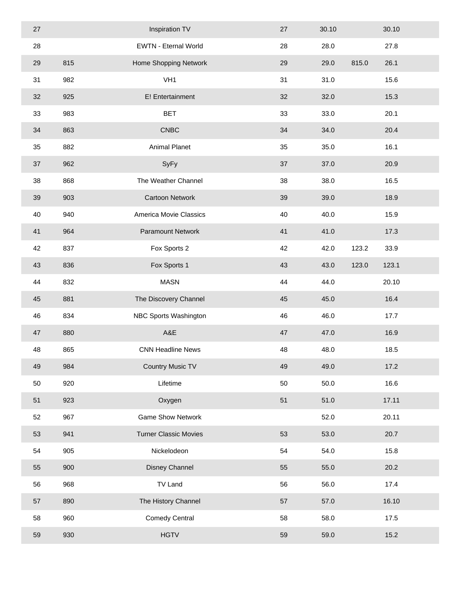| 27 |     | Inspiration TV               | 27 | 30.10 |       | 30.10 |  |
|----|-----|------------------------------|----|-------|-------|-------|--|
| 28 |     | <b>EWTN - Eternal World</b>  | 28 | 28.0  |       | 27.8  |  |
| 29 | 815 | Home Shopping Network        | 29 | 29.0  | 815.0 | 26.1  |  |
| 31 | 982 | VH <sub>1</sub>              | 31 | 31.0  |       | 15.6  |  |
| 32 | 925 | E! Entertainment             | 32 | 32.0  |       | 15.3  |  |
| 33 | 983 | <b>BET</b>                   | 33 | 33.0  |       | 20.1  |  |
| 34 | 863 | <b>CNBC</b>                  | 34 | 34.0  |       | 20.4  |  |
| 35 | 882 | Animal Planet                | 35 | 35.0  |       | 16.1  |  |
| 37 | 962 | SyFy                         | 37 | 37.0  |       | 20.9  |  |
| 38 | 868 | The Weather Channel          | 38 | 38.0  |       | 16.5  |  |
| 39 | 903 | <b>Cartoon Network</b>       | 39 | 39.0  |       | 18.9  |  |
| 40 | 940 | America Movie Classics       | 40 | 40.0  |       | 15.9  |  |
| 41 | 964 | Paramount Network            | 41 | 41.0  |       | 17.3  |  |
| 42 | 837 | Fox Sports 2                 | 42 | 42.0  | 123.2 | 33.9  |  |
| 43 | 836 | Fox Sports 1                 | 43 | 43.0  | 123.0 | 123.1 |  |
| 44 | 832 | <b>MASN</b>                  | 44 | 44.0  |       | 20.10 |  |
| 45 | 881 | The Discovery Channel        | 45 | 45.0  |       | 16.4  |  |
| 46 | 834 | NBC Sports Washington        | 46 | 46.0  |       | 17.7  |  |
| 47 | 880 | A&E                          | 47 | 47.0  |       | 16.9  |  |
| 48 | 865 | <b>CNN Headline News</b>     | 48 | 48.0  |       | 18.5  |  |
| 49 | 984 | <b>Country Music TV</b>      | 49 | 49.0  |       | 17.2  |  |
| 50 | 920 | Lifetime                     | 50 | 50.0  |       | 16.6  |  |
| 51 | 923 | Oxygen                       | 51 | 51.0  |       | 17.11 |  |
| 52 | 967 | <b>Game Show Network</b>     |    | 52.0  |       | 20.11 |  |
| 53 | 941 | <b>Turner Classic Movies</b> | 53 | 53.0  |       | 20.7  |  |
| 54 | 905 | Nickelodeon                  | 54 | 54.0  |       | 15.8  |  |
| 55 | 900 | Disney Channel               | 55 | 55.0  |       | 20.2  |  |
| 56 | 968 | <b>TV Land</b>               | 56 | 56.0  |       | 17.4  |  |
| 57 | 890 | The History Channel          | 57 | 57.0  |       | 16.10 |  |
| 58 | 960 | <b>Comedy Central</b>        | 58 | 58.0  |       | 17.5  |  |
| 59 | 930 | <b>HGTV</b>                  | 59 | 59.0  |       | 15.2  |  |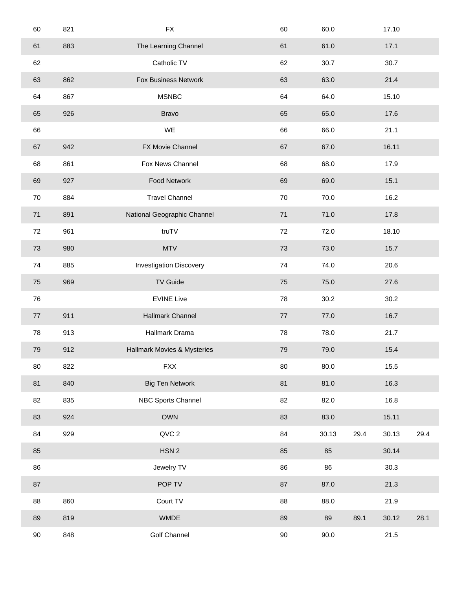| 60 | 821 | ${\sf FX}$                     | 60     | 60.0  |      | 17.10 |      |
|----|-----|--------------------------------|--------|-------|------|-------|------|
| 61 | 883 | The Learning Channel           | 61     | 61.0  |      | 17.1  |      |
| 62 |     | Catholic TV                    | 62     | 30.7  |      | 30.7  |      |
| 63 | 862 | <b>Fox Business Network</b>    | 63     | 63.0  |      | 21.4  |      |
| 64 | 867 | <b>MSNBC</b>                   | 64     | 64.0  |      | 15.10 |      |
| 65 | 926 | <b>Bravo</b>                   | 65     | 65.0  |      | 17.6  |      |
| 66 |     | WE                             | 66     | 66.0  |      | 21.1  |      |
| 67 | 942 | FX Movie Channel               | 67     | 67.0  |      | 16.11 |      |
| 68 | 861 | Fox News Channel               | 68     | 68.0  |      | 17.9  |      |
| 69 | 927 | Food Network                   | 69     | 69.0  |      | 15.1  |      |
| 70 | 884 | <b>Travel Channel</b>          | 70     | 70.0  |      | 16.2  |      |
| 71 | 891 | National Geographic Channel    | 71     | 71.0  |      | 17.8  |      |
| 72 | 961 | truTV                          | 72     | 72.0  |      | 18.10 |      |
| 73 | 980 | <b>MTV</b>                     | 73     | 73.0  |      | 15.7  |      |
| 74 | 885 | <b>Investigation Discovery</b> | 74     | 74.0  |      | 20.6  |      |
| 75 | 969 | <b>TV Guide</b>                | 75     | 75.0  |      | 27.6  |      |
| 76 |     | <b>EVINE Live</b>              | 78     | 30.2  |      | 30.2  |      |
| 77 | 911 | Hallmark Channel               | $77\,$ | 77.0  |      | 16.7  |      |
| 78 | 913 | Hallmark Drama                 | 78     | 78.0  |      | 21.7  |      |
| 79 | 912 | Hallmark Movies & Mysteries    | 79     | 79.0  |      | 15.4  |      |
| 80 | 822 | <b>FXX</b>                     | 80     | 80.0  |      | 15.5  |      |
| 81 | 840 | <b>Big Ten Network</b>         | 81     | 81.0  |      | 16.3  |      |
| 82 | 835 | NBC Sports Channel             | 82     | 82.0  |      | 16.8  |      |
| 83 | 924 | <b>OWN</b>                     | 83     | 83.0  |      | 15.11 |      |
| 84 | 929 | QVC 2                          | 84     | 30.13 | 29.4 | 30.13 | 29.4 |
| 85 |     | HSN <sub>2</sub>               | 85     | 85    |      | 30.14 |      |
| 86 |     | Jewelry TV                     | 86     | 86    |      | 30.3  |      |
| 87 |     | POP TV                         | 87     | 87.0  |      | 21.3  |      |
| 88 | 860 | Court TV                       | 88     | 88.0  |      | 21.9  |      |
| 89 | 819 | <b>WMDE</b>                    | 89     | 89    | 89.1 | 30.12 | 28.1 |
| 90 | 848 | Golf Channel                   | $90\,$ | 90.0  |      | 21.5  |      |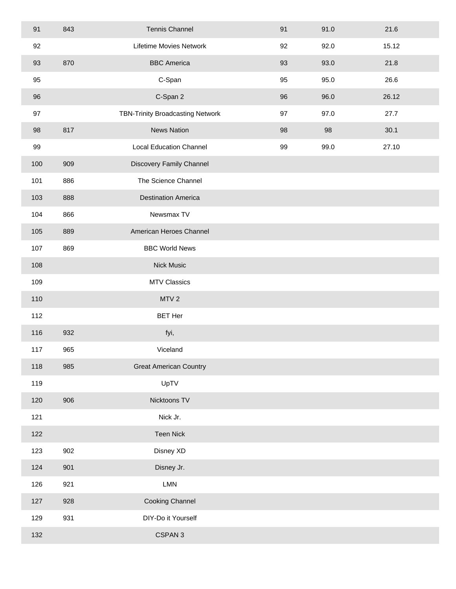| 91  | 843 | <b>Tennis Channel</b>            | 91 | 91.0 | 21.6  |
|-----|-----|----------------------------------|----|------|-------|
| 92  |     | Lifetime Movies Network          | 92 | 92.0 | 15.12 |
| 93  | 870 | <b>BBC</b> America               | 93 | 93.0 | 21.8  |
| 95  |     | C-Span                           | 95 | 95.0 | 26.6  |
| 96  |     | C-Span 2                         | 96 | 96.0 | 26.12 |
| 97  |     | TBN-Trinity Broadcasting Network | 97 | 97.0 | 27.7  |
| 98  | 817 | <b>News Nation</b>               | 98 | 98   | 30.1  |
| 99  |     | <b>Local Education Channel</b>   | 99 | 99.0 | 27.10 |
| 100 | 909 | Discovery Family Channel         |    |      |       |
| 101 | 886 | The Science Channel              |    |      |       |
| 103 | 888 | <b>Destination America</b>       |    |      |       |
| 104 | 866 | Newsmax TV                       |    |      |       |
| 105 | 889 | American Heroes Channel          |    |      |       |
| 107 | 869 | <b>BBC World News</b>            |    |      |       |
| 108 |     | <b>Nick Music</b>                |    |      |       |
| 109 |     | <b>MTV Classics</b>              |    |      |       |
| 110 |     | MTV <sub>2</sub>                 |    |      |       |
| 112 |     | <b>BET Her</b>                   |    |      |       |
| 116 | 932 | fyi,                             |    |      |       |
| 117 | 965 | Viceland                         |    |      |       |
| 118 | 985 | <b>Great American Country</b>    |    |      |       |
| 119 |     | UpTV                             |    |      |       |
| 120 | 906 | Nicktoons TV                     |    |      |       |
| 121 |     | Nick Jr.                         |    |      |       |
| 122 |     | <b>Teen Nick</b>                 |    |      |       |
| 123 | 902 | Disney XD                        |    |      |       |
| 124 | 901 | Disney Jr.                       |    |      |       |
| 126 | 921 | <b>LMN</b>                       |    |      |       |
| 127 | 928 | <b>Cooking Channel</b>           |    |      |       |
| 129 | 931 | DIY-Do it Yourself               |    |      |       |
| 132 |     | CSPAN <sub>3</sub>               |    |      |       |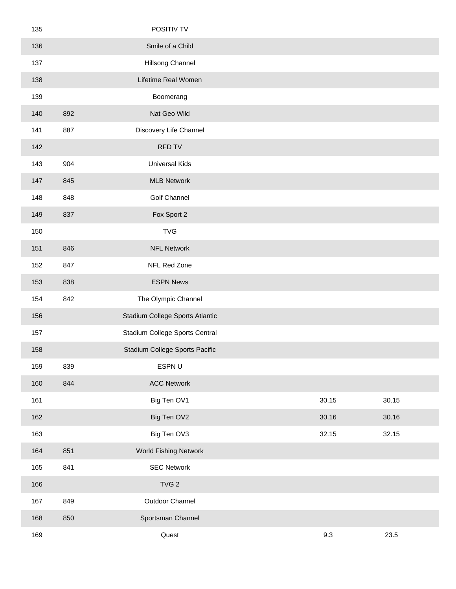| 135 |     | POSITIV TV                      |       |       |  |
|-----|-----|---------------------------------|-------|-------|--|
| 136 |     | Smile of a Child                |       |       |  |
| 137 |     | Hillsong Channel                |       |       |  |
| 138 |     | Lifetime Real Women             |       |       |  |
| 139 |     | Boomerang                       |       |       |  |
| 140 | 892 | Nat Geo Wild                    |       |       |  |
| 141 | 887 | Discovery Life Channel          |       |       |  |
| 142 |     | <b>RFD TV</b>                   |       |       |  |
| 143 | 904 | <b>Universal Kids</b>           |       |       |  |
| 147 | 845 | <b>MLB Network</b>              |       |       |  |
| 148 | 848 | Golf Channel                    |       |       |  |
| 149 | 837 | Fox Sport 2                     |       |       |  |
| 150 |     | <b>TVG</b>                      |       |       |  |
| 151 | 846 | <b>NFL Network</b>              |       |       |  |
| 152 | 847 | NFL Red Zone                    |       |       |  |
| 153 | 838 | <b>ESPN News</b>                |       |       |  |
| 154 | 842 | The Olympic Channel             |       |       |  |
| 156 |     | Stadium College Sports Atlantic |       |       |  |
| 157 |     | Stadium College Sports Central  |       |       |  |
| 158 |     | Stadium College Sports Pacific  |       |       |  |
| 159 | 839 | ESPN U                          |       |       |  |
| 160 | 844 | <b>ACC Network</b>              |       |       |  |
| 161 |     | Big Ten OV1                     | 30.15 | 30.15 |  |
| 162 |     | Big Ten OV2                     | 30.16 | 30.16 |  |
| 163 |     | Big Ten OV3                     | 32.15 | 32.15 |  |
| 164 | 851 | World Fishing Network           |       |       |  |
| 165 | 841 | <b>SEC Network</b>              |       |       |  |
| 166 |     | TVG <sub>2</sub>                |       |       |  |
| 167 | 849 | Outdoor Channel                 |       |       |  |
| 168 | 850 | Sportsman Channel               |       |       |  |
| 169 |     | Quest                           | 9.3   | 23.5  |  |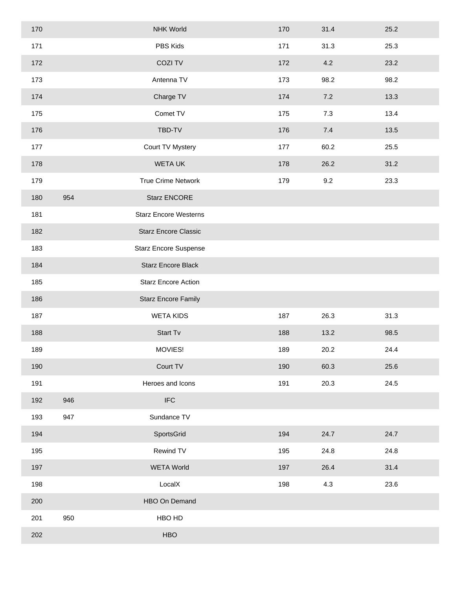| 170 |     | <b>NHK World</b>             | 170 | 31.4 | 25.2 |
|-----|-----|------------------------------|-----|------|------|
| 171 |     | PBS Kids                     | 171 | 31.3 | 25.3 |
| 172 |     | COZI TV                      | 172 | 4.2  | 23.2 |
| 173 |     | Antenna TV                   | 173 | 98.2 | 98.2 |
| 174 |     | Charge TV                    | 174 | 7.2  | 13.3 |
| 175 |     | Comet TV                     | 175 | 7.3  | 13.4 |
| 176 |     | TBD-TV                       | 176 | 7.4  | 13.5 |
| 177 |     | Court TV Mystery             | 177 | 60.2 | 25.5 |
| 178 |     | WETA UK                      | 178 | 26.2 | 31.2 |
| 179 |     | True Crime Network           | 179 | 9.2  | 23.3 |
| 180 | 954 | Starz ENCORE                 |     |      |      |
| 181 |     | <b>Starz Encore Westerns</b> |     |      |      |
| 182 |     | <b>Starz Encore Classic</b>  |     |      |      |
| 183 |     | <b>Starz Encore Suspense</b> |     |      |      |
| 184 |     | <b>Starz Encore Black</b>    |     |      |      |
| 185 |     | <b>Starz Encore Action</b>   |     |      |      |
| 186 |     | <b>Starz Encore Family</b>   |     |      |      |
| 187 |     | <b>WETA KIDS</b>             | 187 | 26.3 | 31.3 |
| 188 |     | Start Tv                     | 188 | 13.2 | 98.5 |
| 189 |     | MOVIES!                      | 189 | 20.2 | 24.4 |
| 190 |     | Court TV                     | 190 | 60.3 | 25.6 |
| 191 |     | Heroes and Icons             | 191 | 20.3 | 24.5 |
| 192 | 946 | $\ensuremath{\mathsf{IFC}}$  |     |      |      |
| 193 | 947 | Sundance TV                  |     |      |      |
| 194 |     | SportsGrid                   | 194 | 24.7 | 24.7 |
| 195 |     | Rewind TV                    | 195 | 24.8 | 24.8 |
| 197 |     | <b>WETA World</b>            | 197 | 26.4 | 31.4 |
| 198 |     | LocalX                       | 198 | 4.3  | 23.6 |
| 200 |     | HBO On Demand                |     |      |      |
| 201 | 950 | HBO HD                       |     |      |      |
| 202 |     | <b>HBO</b>                   |     |      |      |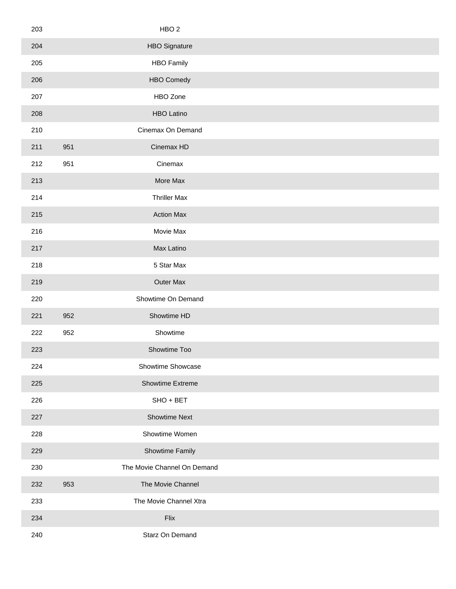| 203 | HBO <sub>2</sub>            |  |
|-----|-----------------------------|--|
| 204 | <b>HBO Signature</b>        |  |
| 205 | <b>HBO Family</b>           |  |
| 206 | <b>HBO Comedy</b>           |  |
| 207 | HBO Zone                    |  |
| 208 | <b>HBO Latino</b>           |  |
| 210 | Cinemax On Demand           |  |
| 211 | 951<br>Cinemax HD           |  |
| 212 | 951<br>Cinemax              |  |
| 213 | More Max                    |  |
| 214 | <b>Thriller Max</b>         |  |
| 215 | <b>Action Max</b>           |  |
| 216 | Movie Max                   |  |
| 217 | Max Latino                  |  |
| 218 | 5 Star Max                  |  |
| 219 | Outer Max                   |  |
| 220 | Showtime On Demand          |  |
| 221 | Showtime HD<br>952          |  |
| 222 | Showtime<br>952             |  |
| 223 | Showtime Too                |  |
| 224 | Showtime Showcase           |  |
| 225 | Showtime Extreme            |  |
| 226 | SHO + BET                   |  |
| 227 | <b>Showtime Next</b>        |  |
| 228 | Showtime Women              |  |
| 229 | Showtime Family             |  |
| 230 | The Movie Channel On Demand |  |
| 232 | The Movie Channel<br>953    |  |
| 233 | The Movie Channel Xtra      |  |
| 234 | Flix                        |  |
| 240 | Starz On Demand             |  |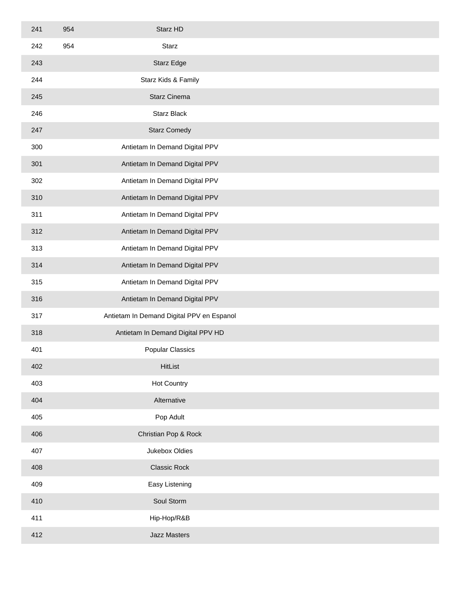| 241 | 954 | Starz HD                                  |  |
|-----|-----|-------------------------------------------|--|
| 242 | 954 | Starz                                     |  |
| 243 |     | Starz Edge                                |  |
| 244 |     | Starz Kids & Family                       |  |
| 245 |     | Starz Cinema                              |  |
| 246 |     | <b>Starz Black</b>                        |  |
| 247 |     | <b>Starz Comedy</b>                       |  |
| 300 |     | Antietam In Demand Digital PPV            |  |
| 301 |     | Antietam In Demand Digital PPV            |  |
| 302 |     | Antietam In Demand Digital PPV            |  |
| 310 |     | Antietam In Demand Digital PPV            |  |
| 311 |     | Antietam In Demand Digital PPV            |  |
| 312 |     | Antietam In Demand Digital PPV            |  |
| 313 |     | Antietam In Demand Digital PPV            |  |
| 314 |     | Antietam In Demand Digital PPV            |  |
| 315 |     | Antietam In Demand Digital PPV            |  |
| 316 |     | Antietam In Demand Digital PPV            |  |
| 317 |     | Antietam In Demand Digital PPV en Espanol |  |
| 318 |     | Antietam In Demand Digital PPV HD         |  |
| 401 |     | <b>Popular Classics</b>                   |  |
| 402 |     | HitList                                   |  |
| 403 |     | <b>Hot Country</b>                        |  |
| 404 |     | Alternative                               |  |
| 405 |     | Pop Adult                                 |  |
| 406 |     | Christian Pop & Rock                      |  |
| 407 |     | Jukebox Oldies                            |  |
| 408 |     | <b>Classic Rock</b>                       |  |
| 409 |     | Easy Listening                            |  |
| 410 |     | Soul Storm                                |  |
| 411 |     | Hip-Hop/R&B                               |  |
| 412 |     | <b>Jazz Masters</b>                       |  |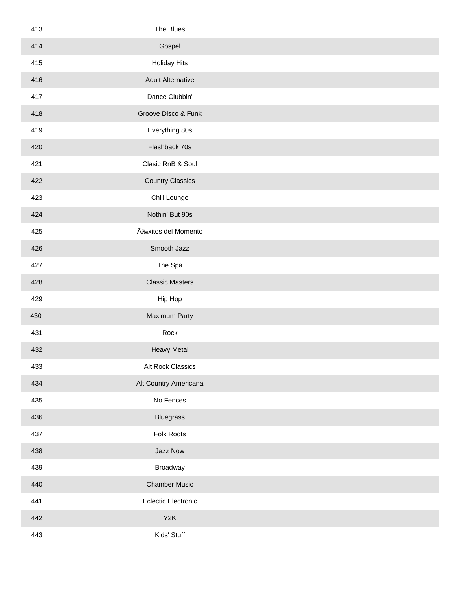| 413 | The Blues                  |  |
|-----|----------------------------|--|
| 414 | Gospel                     |  |
| 415 | <b>Holiday Hits</b>        |  |
| 416 | <b>Adult Alternative</b>   |  |
| 417 | Dance Clubbin'             |  |
| 418 | Groove Disco & Funk        |  |
| 419 | Everything 80s             |  |
| 420 | Flashback 70s              |  |
| 421 | Clasic RnB & Soul          |  |
| 422 | <b>Country Classics</b>    |  |
| 423 | Chill Lounge               |  |
| 424 | Nothin' But 90s            |  |
| 425 | Éxitos del Momento         |  |
| 426 | Smooth Jazz                |  |
| 427 | The Spa                    |  |
| 428 | <b>Classic Masters</b>     |  |
| 429 | Hip Hop                    |  |
| 430 | Maximum Party              |  |
| 431 | Rock                       |  |
| 432 | <b>Heavy Metal</b>         |  |
| 433 | Alt Rock Classics          |  |
| 434 | Alt Country Americana      |  |
| 435 | No Fences                  |  |
| 436 | <b>Bluegrass</b>           |  |
| 437 | Folk Roots                 |  |
| 438 | Jazz Now                   |  |
| 439 | Broadway                   |  |
| 440 | <b>Chamber Music</b>       |  |
| 441 | <b>Eclectic Electronic</b> |  |
| 442 | Y <sub>2</sub> K           |  |
| 443 | Kids' Stuff                |  |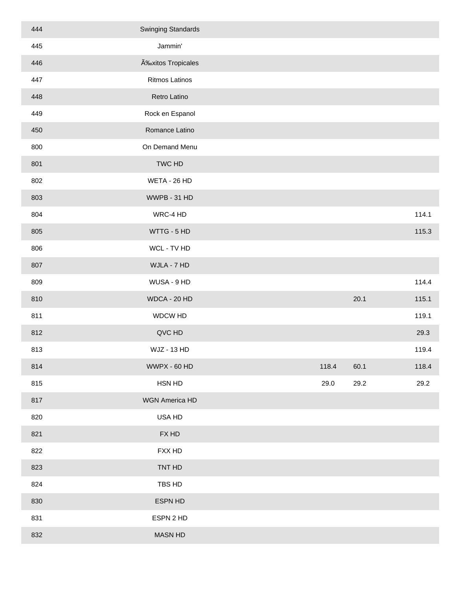| 444 | <b>Swinging Standards</b> |       |      |       |
|-----|---------------------------|-------|------|-------|
| 445 | Jammin'                   |       |      |       |
| 446 | Éxitos Tropicales         |       |      |       |
| 447 | <b>Ritmos Latinos</b>     |       |      |       |
| 448 | Retro Latino              |       |      |       |
| 449 | Rock en Espanol           |       |      |       |
| 450 | Romance Latino            |       |      |       |
| 800 | On Demand Menu            |       |      |       |
| 801 | TWC HD                    |       |      |       |
| 802 | WETA - 26 HD              |       |      |       |
| 803 | WWPB - 31 HD              |       |      |       |
| 804 | WRC-4 HD                  |       |      | 114.1 |
| 805 | WTTG - 5 HD               |       |      | 115.3 |
| 806 | WCL - TV HD               |       |      |       |
| 807 | WJLA - 7 HD               |       |      |       |
| 809 | WUSA - 9 HD               |       |      | 114.4 |
| 810 | WDCA - 20 HD              |       | 20.1 | 115.1 |
| 811 | WDCW HD                   |       |      | 119.1 |
| 812 | QVC HD                    |       |      | 29.3  |
| 813 | <b>WJZ - 13 HD</b>        |       |      | 119.4 |
| 814 | WWPX - 60 HD              | 118.4 | 60.1 | 118.4 |
| 815 | HSN HD                    | 29.0  | 29.2 | 29.2  |
| 817 | WGN America HD            |       |      |       |
| 820 | USA HD                    |       |      |       |
| 821 | FX HD                     |       |      |       |
| 822 | FXX HD                    |       |      |       |
| 823 | TNT HD                    |       |      |       |
| 824 | TBS HD                    |       |      |       |
| 830 | ESPN HD                   |       |      |       |
| 831 | ESPN 2 HD                 |       |      |       |
| 832 | <b>MASN HD</b>            |       |      |       |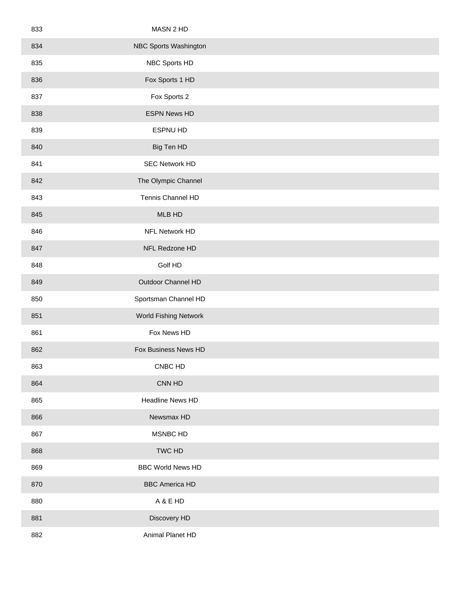| 833 | MASN 2 HD                    |  |
|-----|------------------------------|--|
| 834 | NBC Sports Washington        |  |
| 835 | NBC Sports HD                |  |
| 836 | Fox Sports 1 HD              |  |
| 837 | Fox Sports 2                 |  |
| 838 | <b>ESPN News HD</b>          |  |
| 839 | ESPNU HD                     |  |
| 840 | Big Ten HD                   |  |
| 841 | <b>SEC Network HD</b>        |  |
| 842 | The Olympic Channel          |  |
| 843 | Tennis Channel HD            |  |
| 845 | MLB HD                       |  |
| 846 | NFL Network HD               |  |
| 847 | NFL Redzone HD               |  |
| 848 | Golf HD                      |  |
| 849 | Outdoor Channel HD           |  |
| 850 | Sportsman Channel HD         |  |
| 851 | <b>World Fishing Network</b> |  |
| 861 | Fox News HD                  |  |
| 862 | Fox Business News HD         |  |
| 863 | CNBC HD                      |  |
| 864 | CNN HD                       |  |
| 865 | Headline News HD             |  |
| 866 | Newsmax HD                   |  |
| 867 | MSNBC HD                     |  |
| 868 | TWC HD                       |  |
| 869 | <b>BBC World News HD</b>     |  |
| 870 | <b>BBC America HD</b>        |  |
| 880 | A & E HD                     |  |
| 881 | Discovery HD                 |  |
| 882 | Animal Planet HD             |  |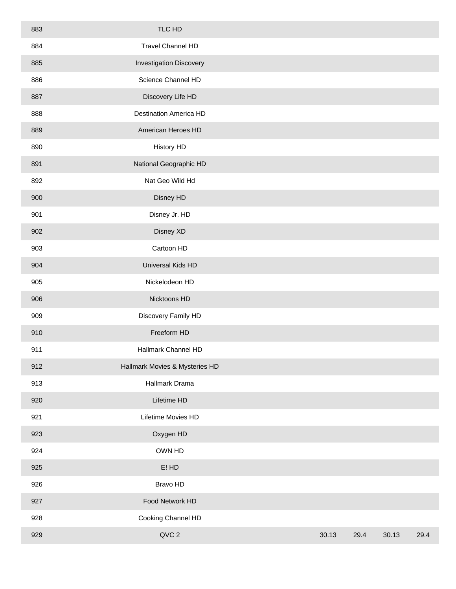| 883 | TLC HD                         |       |      |       |      |
|-----|--------------------------------|-------|------|-------|------|
| 884 | Travel Channel HD              |       |      |       |      |
| 885 | <b>Investigation Discovery</b> |       |      |       |      |
| 886 | Science Channel HD             |       |      |       |      |
| 887 | Discovery Life HD              |       |      |       |      |
| 888 | <b>Destination America HD</b>  |       |      |       |      |
| 889 | American Heroes HD             |       |      |       |      |
| 890 | <b>History HD</b>              |       |      |       |      |
| 891 | National Geographic HD         |       |      |       |      |
| 892 | Nat Geo Wild Hd                |       |      |       |      |
| 900 | Disney HD                      |       |      |       |      |
| 901 | Disney Jr. HD                  |       |      |       |      |
| 902 | Disney XD                      |       |      |       |      |
| 903 | Cartoon HD                     |       |      |       |      |
| 904 | Universal Kids HD              |       |      |       |      |
| 905 | Nickelodeon HD                 |       |      |       |      |
| 906 | Nicktoons HD                   |       |      |       |      |
| 909 | Discovery Family HD            |       |      |       |      |
| 910 | Freeform HD                    |       |      |       |      |
| 911 | Hallmark Channel HD            |       |      |       |      |
| 912 | Hallmark Movies & Mysteries HD |       |      |       |      |
| 913 | Hallmark Drama                 |       |      |       |      |
| 920 | Lifetime HD                    |       |      |       |      |
| 921 | Lifetime Movies HD             |       |      |       |      |
| 923 | Oxygen HD                      |       |      |       |      |
| 924 | OWN HD                         |       |      |       |      |
| 925 | $E!$ HD                        |       |      |       |      |
| 926 | Bravo HD                       |       |      |       |      |
| 927 | Food Network HD                |       |      |       |      |
| 928 | Cooking Channel HD             |       |      |       |      |
| 929 | QVC 2                          | 30.13 | 29.4 | 30.13 | 29.4 |